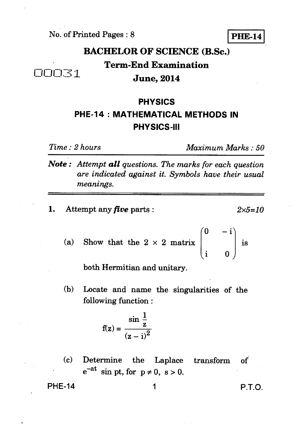No. of Printed Pages : 8 **PHE-14** 

**BACHELOR OF SCIENCE (B.Sc.) Term-End Examination June, 2014** 

## **PHYSICS PHE-14 : MATHEMATICAL METHODS IN PHYSICS-III**

 $\Box \Box \Box \overline{\Box} \overline{\Box}$ 

*Time : 2 hours Maximum Marks : 50* 

*Note : Attempt all questions. The marks for each question are indicated against it. Symbols have their usual meanings.* 

1. Attempt any *five* parts :  $2 \times 5 = 10$ 

 $\sqrt{0}$  — (a) Show that the  $2 \times 2$  matrix is

both Hermitian and unitary.

(b) Locate and name the singularities of the following function :

$$
f(z) = \frac{\sin \frac{1}{z}}{(z - i)^2}
$$

(c) Determine the Laplace transform  $of$  $e^{-at}$  sin pt, for  $p \neq 0$ , s > 0.

PHE-14 1 P.T.O.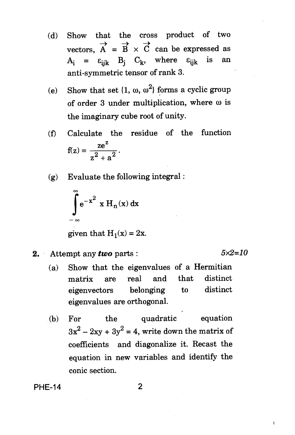- (d) Show that the cross product of two vectors,  $\overrightarrow{A} = \overrightarrow{B} \times \overrightarrow{C}$  can be expressed as  $A_i = \varepsilon_{ijk}$  B<sub>j</sub> C<sub>k</sub>, where  $\varepsilon_{iik}$  is an anti-symmetric tensor of rank 3.
- (e) Show that set  $\{1, \omega, \omega^2\}$  forms a cyclic group of order 3 under multiplication, where  $\omega$  is the imaginary cube root of unity.
- f) Calculate the residue of the function  $f(z) = \frac{ze^z}{2}$  $z^2 + a^2$
- (g) Evaluate the following integral :

$$
\int_{-\infty}^{\infty} e^{-x^2} x H_n(x) dx
$$

given that  $H_1(x) = 2x$ .

**2.** Attempt any *two* parts :  $5 \times 2 = 10$ 

 $\mathbf i$ 

- (a) Show that the eigenvalues of a Hermitian matrix are real and that distinct eigenvectors belonging to distinct eigenvalues are orthogonal.
- (b) For the quadratic equation  $3x^2 - 2xy + 3y^2 = 4$ , write down the matrix of coefficients and diagonalize it. Recast the equation in new variables and identify the conic section.

**PHE-14 2**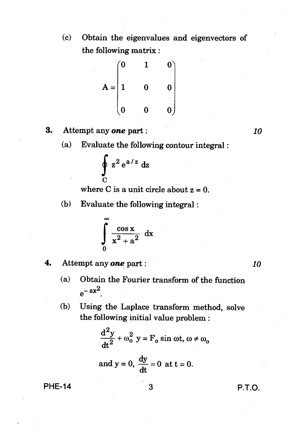(c) Obtain the eigenvalues and eigenvectors of the following matrix :

$$
A = \begin{pmatrix} 0 & 1 & 0 \\ 1 & 0 & 0 \\ 0 & 0 & 0 \end{pmatrix}
$$

- 3. Attempt any *one* part : *10* 
	- (a) Evaluate the following contour integral :

$$
\oint_C z^2 e^{a/z} dz
$$

where C is a unit circle about  $z = 0$ .

(b) Evaluate the following integral :

$$
\int_{0}^{\infty} \frac{\cos x}{x^2 + a^2} dx
$$

4. Attempt any *one* part : *10* 

- (a) Obtain the Fourier transform of the function  $e^{-ax^2}$ .
- (b) Using the Laplace transform method, solve the following initial value problem :

$$
\frac{d^2y}{dt^2} + \omega_0^2 y = F_0 \sin \omega t, \omega \neq \omega_0
$$
  
and  $y = 0$ ,  $\frac{dy}{dt} = 0$  at  $t = 0$ .

PHE-14 3 P.T.O.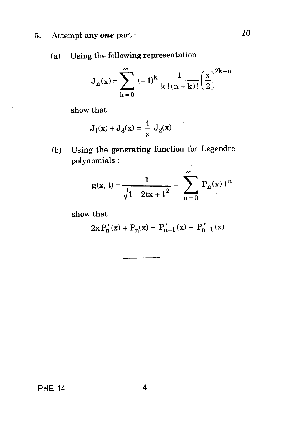#### 5. Attempt any *one* part : *10*

(a) Using the following representation :

$$
J_n(x)=\sum_{k=0}^\infty\;(-1)^k\,\frac{1}{k\,! \left(n+k\right)!\left(\frac{x}{2}\right)}^{2k+n}
$$

show that

$$
J_1(x) + J_3(x) = \frac{4}{x} J_2(x)
$$

(b) Using the generating function for Legendre polynomials :  $\mathcal{L}_{\mathrm{in}}$ 

$$
g(x, t) = \frac{1}{\sqrt{1 - 2tx + t^2}} = \sum_{n=0}^{\infty} P_n(x) t^n
$$

show that

$$
2x P'_n(x) + P_n(x) = P'_{n+1}(x) + P'_{n-1}(x)
$$

PHE-14 4

 $\mathbf{r}$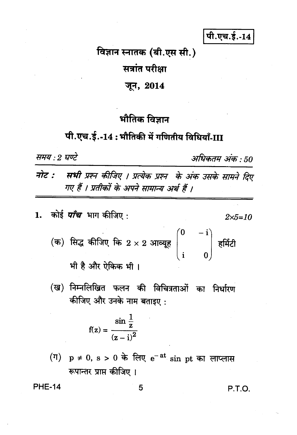पी.एच.ई.-14

विज्ञान स्नातक (बी.एस सी.)

सत्रांत परीक्षा

जून, 2014

### भौतिक विज्ञान

# पी.एच.ई.-14: भौतिकी में गणितीय विधियाँ-III

समय : 2 घण्टे

अधिकतम अंक : 50

नोट : सभी प्रश्न कीजिए । प्रत्येक प्रश्न के अंक उसके सामने दिए गए हैं । प्रतीकों के अपने सामान्य अर्थ हैं ।

- 1. कोई *पाँच* भाग कीजिए :  $2 \times 5 = 10$ 
	- (क) सिद्ध कीजिए कि 2 × 2 आव्यूह $\begin{pmatrix} 0 & -\mathrm{i} \\ . & 0 \end{pmatrix}$  हर्मिटी

भी है और ऐकिक भी।

(ख) निम्नलिखित फलन की विचित्रताओं का निर्धारण कीजिए और उनके नाम बताइए:

$$
f(z) = \frac{\sin \frac{1}{z}}{(z-i)^2}
$$

(ग)  $p \neq 0$ , s > 0 के लिए  $e^{-at}$  sin pt का लाप्लास रूपान्तर प्राप्त कीजिए ।

**PHE-14** 

5

P.T.O.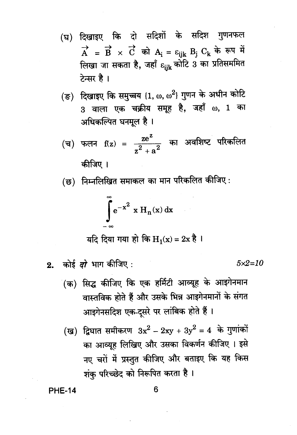- (घ) दिखाइए कि दो सदिशों के सदिश गुणनफल  $\overrightarrow{A} = \overrightarrow{B} \times \overrightarrow{C}$  को  $A_i = \varepsilon_{iik} B_j C_k$  के रूप में लिखा जा सकता है, जहाँ <sub>धांk</sub> कोटि 3 का प्रतिसममित टेन्सर है।
- (ङ) दिखाइए कि समुच्चय {1, w, w<sup>2</sup>} गुणन के अधीन कोटि 3 वाला एक चक्रीय समूह है, जहाँ ω, 1 का अधिकल्पित घनमूल है ।

(च) फलन f(z) = 
$$
\frac{ze^z}{z^2 + a^2}
$$
 का अवशिष्ट परिकलित  
कीज़िए ।

(छ) निम्नलिखित समाकल का मान परिकलित कीजिए :

$$
\int_{-\infty}^{\infty} e^{-x^2} x H_n(x) dx
$$

यदि दिया गया हो कि  $H_1(x) = 2x$  है।

कोई *दो* भाग कीजिए :  $2.$ 

 $5 \times 2 = 10$ 

- (क) सिद्ध कीजिए कि एक हर्मिटी आव्यूह के आइगेनमान वास्तविक होते हैं और उसके भिन्न आइगेनमानों के संगत आइगेनसदिश एक-दूसरे पर लांबिक होते हैं।
- (ख) द्विघात समीकरण  $3x^2 2xy + 3y^2 = 4$  के गुणांकों का आव्यूह लिखिए और उसका विकर्णन कीजिए । इसे नए चरों में प्रस्तुत कीजिए और बताइए कि यह किस शंकु परिच्छेद को निरूपित करता है।

**PHE-14**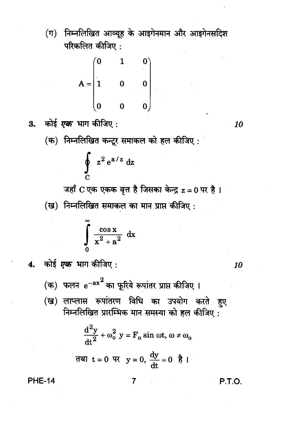(ग) निम्नलिखित आव्यूह के आइगेनमान और आइगेनसदिश परिकलित कीजिए:

$$
A = \begin{pmatrix} 0 & 1 & 0 \\ 1 & 0 & 0 \\ 0 & 0 & 0 \end{pmatrix}
$$

- 3. कोई एक भाग कीजिए :
	- (क) निम्नलिखित कन्टूर समाकल को हल कीजिए:

$$
\oint_C z^2 e^{a/z} dz
$$

जहाँ C एक एकक वृत्त है जिसका केन्द्र z = 0 पर है। (ख) निम्नलिखित समाकल का मान प्राप्त कीजिए:

$$
\int_{0}^{\infty} \frac{\cos x}{x^2 + a^2} dx
$$

4. कोई एक भाग कीजिए:

(क) फलन e<sup>-ax2</sup> का फूरिये रूपांतर प्राप्त कीजिए ।

(ख) लाप्लास रूपांतरण विधि का उपयोग करते हुए निम्नलिखित प्रारम्भिक मान समस्या को हल कीजिए:

$$
\frac{d^2y}{dt^2} + \omega_0^2 y = F_0 \sin \omega t, \omega \neq \omega_0
$$

$$
\overline{d} = 0 \quad \overline{v} = 0, \quad \frac{dy}{dt} = 0 \quad \frac{dy}{dt} = 0
$$

**PHE-14** 

$$
\mathbf{7}^{\prime}
$$

P.T.O.

10

10